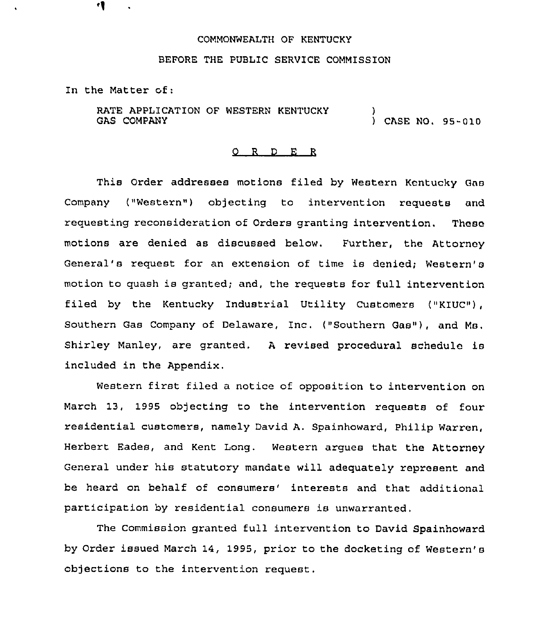### COMMONWEALTH OF KENTUCKY

#### BEFORE THE PUBLIC SERVICE COMMISSION

In the Matter of:

RATE APPLICATION OF WESTERN KENTUCKY GAS COMPANY ) ) CASE NO. 95-010

### 0 R <sup>D</sup> E R

This Order addresses motions filed by Western Kentucky Gas Company ("Western") objecting to intervention requests and requesting reconsideration of Orders granting intervention. These motions are denied as discussed below. Further, the Attorney General's request for an extension of time is denied; Western's motion to quash is granted; and, the requests for full intervention filed by the Kentucky Industrial Utility Customers ("KIUC"), Southern Gas Company of Delaware, Inc. ("Southern Gas"), and Ms. Shirley Manley, are granted, <sup>A</sup> revised procedural schedule is included in the Appendix.

Western first filed a notice of opposition to intervention on March 13, 1995 objecting to the intervention requests of four residential customers, namely David A. Spainhoward, Philip Warren, Herbert Eades, and Kent Long. Western argues that the Attorney General under his statutory mandate will adequately represent and be heard on behalf of consumers' interests and that additional participation by residential consumers is unwarranted,

The Commission granted full intervention to David Spainhoward by Order issued March 14, 1995, prior to the docketing of Western's objections to the intervention request.

4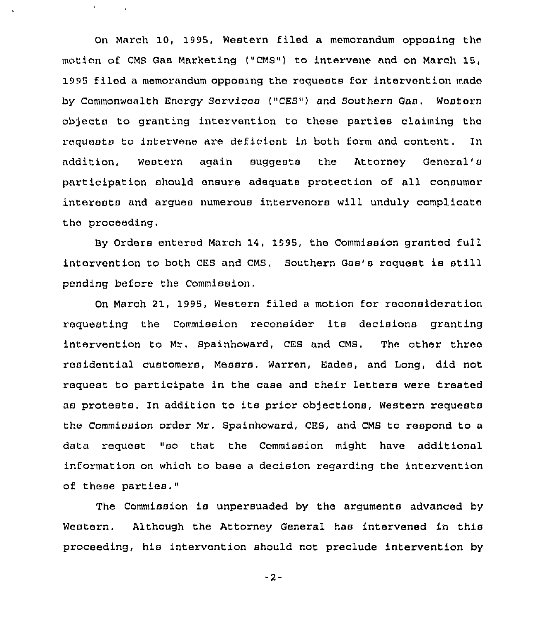On March 10, 1995, Western filed a memorandum opposing the motion of CMS Gas Marketing ("CMS") to intervene and on March 15, 1995 filed a memorandum opposing the requests for intervention made by Commonwealth Energy Services ("CES") and Southern Gas. Western objects to granting intervention to these parties claiming the requests to intervene are deficient in both form and content. In addition, Western again suggests the Attorney General' participation should ensure adequate protection of all consumer interests and argues numerous intervenors will unduly complicate the proceeding.

 $\mathbf{C}^{(1)}$ 

By Orders entered March 14, 1995, the Commission granted full intervention to both CES and CMS. Southern Gas's request is still pending before the Commission,

On March 21, 1995, Western filed a motion for reconsideration requesting the Commission reconsider its decisions granting intervention to Mr. Spainhoward, CES and CMS. The other three residential customers, Messrs. Warren, Eades, and Long, did not request to participate in the case and their letters were treated as protests. In addition to its prior objections, Western requests the Commission order Mr. Spainhoward, CES, and CMS to respond to a data request "so that the Commission might have additional information on which to base a decision regarding the intervention of these parties."

The Commission is unpersuaded by the arguments advanced by Western. Although the Attorney General has intervened in this proceeding, his intervention should not preclude intervention by

 $-2-$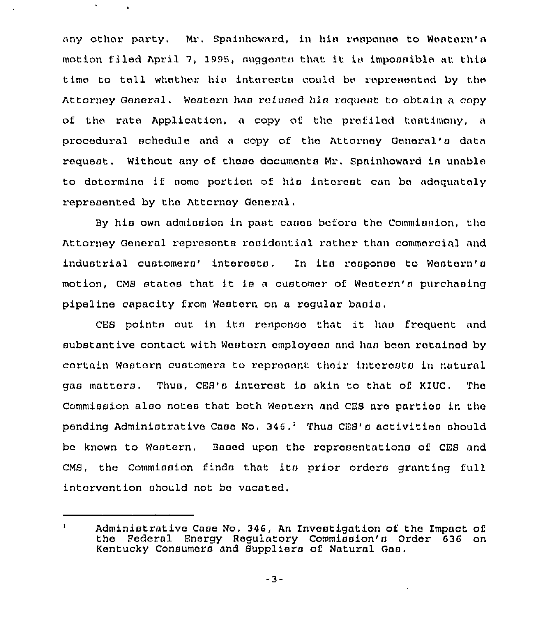any other party, Mr. Spainhoward, in his response to Western's motion filed April 7, 1995, suggests that it is impossible at this time to tell whether his interests could be represented by the Attorney General. Western has refused his request to obtain a copy of the rate Application, a copy of the prefiled teatimony, a procedural schedule and a copy of the Attorney General's data roquost. Without any of those documents Mr. Spalnhoward in unable to detormino if aomo portion of his intorast can bo adequately represented by tho Attornoy General,

 $\mathbf{v}$ 

By his own admission in past cases before the Commission, the Attorney General represents residential rather than commercial and industrial customers' interosts. In its response to Western's motion, CMS states that it is <sup>a</sup> customer of Western's purchasing pipelino capacity from Western on a regular basis,

CES points out in ita rosponso that it has froquont and substantive contact with Wostorn cmploycoa and han boon rotained by cortain Western customora to represent their interests in natural gas matters, Thus, CES's interest is akin tc that of KIUC. Tho Commission also notes that both Western and CE9 aro partioa in tho pending Administrative Case No. 346,<sup>1</sup> Thus CES's activities should be known to Woatern, Baaed upon tho roprosontationa of CES and CMS, the Commission finds that its prior orders granting full intervention should not be vacated,

 $\mathbf{1}$ Administrative Case No. 346, An Investigation of the Impact of the Federal Energy Regulatory Commission's Order 636 on Kentucky Consumers and Suppliers of Natural Gaa.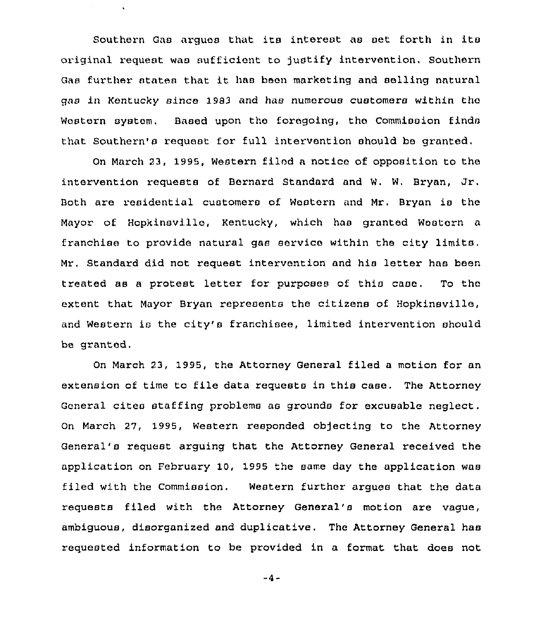Southern Gas argues that ita interest as set forth in its original request was sufficient to justify intervention. Southern Gas further states that it has been marketing and selling natural qas in Kentucky since 1983 and has numerous customers within tho Western system. Based upon the foregoing, the Commission finds that Southern's request for full intervention should be granted.

On March 23, 1995, Western filed a notice of opposition to the intervention requests of Bernard Standard and W. W, Bryan, Jr. Both are residential customers of Western and Mr, Bryan is the Mayor of Hopkinsville, Kentucky, which has granted Western a franchise to provide natural gas service within the city limits. Mr, Standard did not request intervention and his letter has been treated as a protest letter for purposes of this case. To the extent that Mayor Bryan represents the citizens of Hopkinsville, and Western is the city's franchisee, limited intervention should be granted.

On March 23, 1995, the Attorney General filed a motion for an extension of time to file data requests in this case, The Attorney General cites staffing problems as grounds for excusable neglect. On March 27, 1995, Western responded objecting to the Attorney General's request arguing that the Attorney General received the application on February 1Q, 1995 the same day the application was filed with the Commission. Western further argues that the data requests filed with the Attorney General's motion are vague, ambiguous, disorganized and duplicative. The Attorney General has requested information to be provided in a format that does not

 $-4-$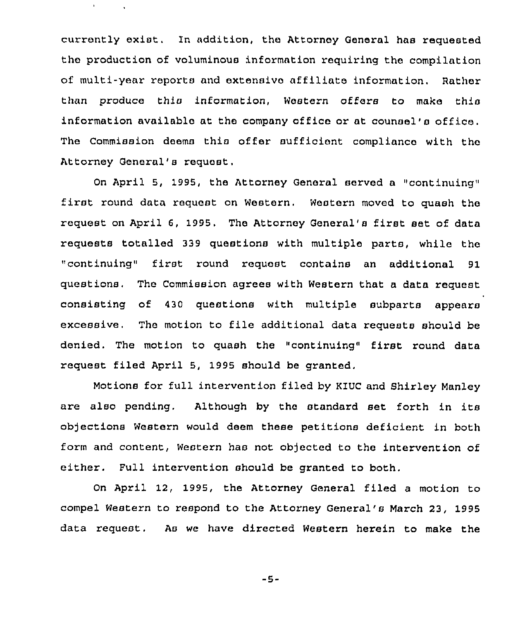currently exist. ln addition, the Attorney General has requested the production of voluminous information requiring the compilation of multi-year reports and extensive affiliate information. Rather than produce this information, Western offers to make this information available at the company office or at counsel's office. The Commission deems this offer sufficient compliance with the Attorney General's request.

 $\mathbf{r}$  .

On April 5, 1995, the Attorney General served a "continuing" first round data request on Western. Western moved to quash the request on April 6, 1995, The Attorney General's first set of data requests totalled 339 questions with multiple parte, while the "continuing" first round request contains an additional 91 questions. The Commission agrees with Western that a data request consisting of 430 questions with multiple subparts appears excessive, The motion to file additional data requests should be denied. The motion to quash the "continuing" first round data request filed April 5, 1995 should be granted.

Motions for full intervention filed by KIUC and Shirley Manley are also pending. Although by the standard set forth in its objections Western would deem these petitions deficient in both form and content, Western has not objected to the intervention of either. Full intervention should be granted to both.

On April 12, 1995, the Attorney General filed a motion to compel Western to respond to the Attorney General's March 23, 1995 data request. As we have directed Western herein to make the

-5-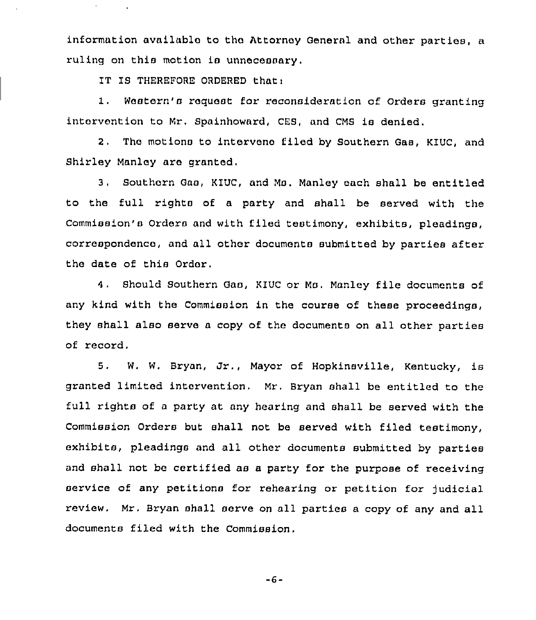information available to tho Attorney General and other parties, a ruling on this motion is unnecessary.

IT IS THEREFORE ORDERED that:

 $\epsilon$ 

I, Western's request for reconsideration of Orders granting intervention to Mr. Spainhoward, CES, and CMS is denied.

2. The motions to intervene filed by Southern Gas, KIUC, and Shirley Manley are granted.

3, Southern Gas, KIUC, and Ms. Manley each shall be entitled to the full rights of a party and shall be served with the Commission's Orders and with filed testimony, exhibits, pleadings, correspondence, and all other documents submitted by partiea after the date of this Order,

 $4.1$ Should Southern Gas, KIUC or Ms. Manley file documents of any kind with the Commission in the course of these proceedings, they shall also serve <sup>a</sup> copy of the documents on all other parties of record.

5. W. W. Bryan, Jr., Mayor of Hopkinsville, Kentucky, is granted limited intervention, Mr. Bryan shall be entitled to the full rights of a party at any hearing and shall be served with the Commission Orders but shall not be served with filed testimony, exhibits, pleadings and all other documents submitted by parties and shall not be certified as a party for the purpose of receiving service of any petitions for rehearing or petition for judicial review. Mr. Bryan shall serve on all parties a copy of any and all documents filed with the Commission.

-6-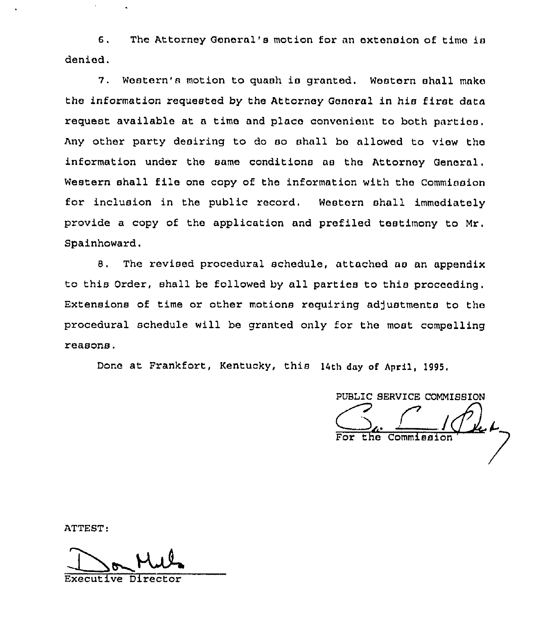6. The Attorney General's motion for an extension of time is denied.

7. Western's motion to quash is granted. Western shall make the information requested by the Attorney General in his first data request available at a time and place convenient to both parties. Any other party desiring to do so shall be allowed to view the information under the same conditions as the Attorney General. Western shall file one copy of the information with the Commission for inclusion in the public record. Western shall immediately provide a copy of the application and prefiled testimony to Mr. Spainhoward.

8. The revised procedural schedule, attached as an appendix to this Order, shall be followed by all parties to this proceeding. Extensions of time or other motions requiring adjustments to the procedural schedule will be granted only for the most compelling reasons.

Done at Frankfort, Kentucky, this 14th day of April, 1995.

PUBLIC SERVICE COMMISSION Commiss:

ATTEST:

Kul Executive Director